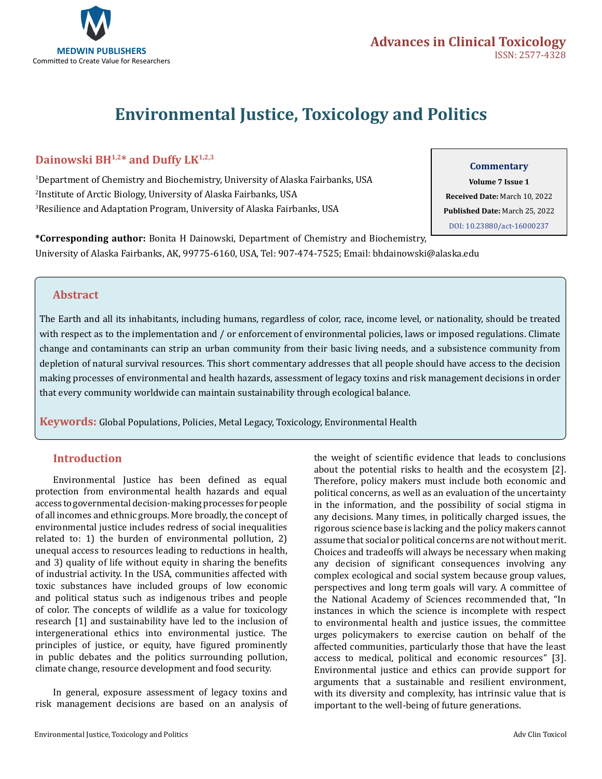

# **Environmental Justice, Toxicology and Politics**

# Dainowski BH<sup>1,2\*</sup> and Duffy LK<sup>1,2,3</sup>

1 Department of Chemistry and Biochemistry, University of Alaska Fairbanks, USA 2 Institute of Arctic Biology, University of Alaska Fairbanks, USA 3 Resilience and Adaptation Program, University of Alaska Fairbanks, USA

#### **Commentary**

**Volume 7 Issue 1 Received Date:** March 10, 2022 **Published Date:** March 25, 2022 [DOI: 10.23880/act-16000237](htps://doi.org/10.23880/act-16000237)

**\*Corresponding author:** Bonita H Dainowski, Department of Chemistry and Biochemistry, University of Alaska Fairbanks, AK, 99775-6160, USA, Tel: 907-474-7525; Email: bhdainowski@alaska.edu

## **Abstract**

The Earth and all its inhabitants, including humans, regardless of color, race, income level, or nationality, should be treated with respect as to the implementation and / or enforcement of environmental policies, laws or imposed regulations. Climate change and contaminants can strip an urban community from their basic living needs, and a subsistence community from depletion of natural survival resources. This short commentary addresses that all people should have access to the decision making processes of environmental and health hazards, assessment of legacy toxins and risk management decisions in order that every community worldwide can maintain sustainability through ecological balance.

**Keywords:** Global Populations, Policies, Metal Legacy, Toxicology, Environmental Health

### **Introduction**

Environmental Justice has been defined as equal protection from environmental health hazards and equal access to governmental decision-making processes for people of all incomes and ethnic groups. More broadly, the concept of environmental justice includes redress of social inequalities related to: 1) the burden of environmental pollution, 2) unequal access to resources leading to reductions in health, and 3) quality of life without equity in sharing the benefits of industrial activity. In the USA, communities affected with toxic substances have included groups of low economic and political status such as indigenous tribes and people of color. The concepts of wildlife as a value for toxicology research [1] and sustainability have led to the inclusion of intergenerational ethics into environmental justice. The principles of justice, or equity, have figured prominently in public debates and the politics surrounding pollution, climate change, resource development and food security.

In general, exposure assessment of legacy toxins and risk management decisions are based on an analysis of the weight of scientific evidence that leads to conclusions about the potential risks to health and the ecosystem [2]. Therefore, policy makers must include both economic and political concerns, as well as an evaluation of the uncertainty in the information, and the possibility of social stigma in any decisions. Many times, in politically charged issues, the rigorous science base is lacking and the policy makers cannot assume that social or political concerns are not without merit. Choices and tradeoffs will always be necessary when making any decision of significant consequences involving any complex ecological and social system because group values, perspectives and long term goals will vary. A committee of the National Academy of Sciences recommended that, "In instances in which the science is incomplete with respect to environmental health and justice issues, the committee urges policymakers to exercise caution on behalf of the affected communities, particularly those that have the least access to medical, political and economic resources" [3]. Environmental justice and ethics can provide support for arguments that a sustainable and resilient environment, with its diversity and complexity, has intrinsic value that is important to the well-being of future generations.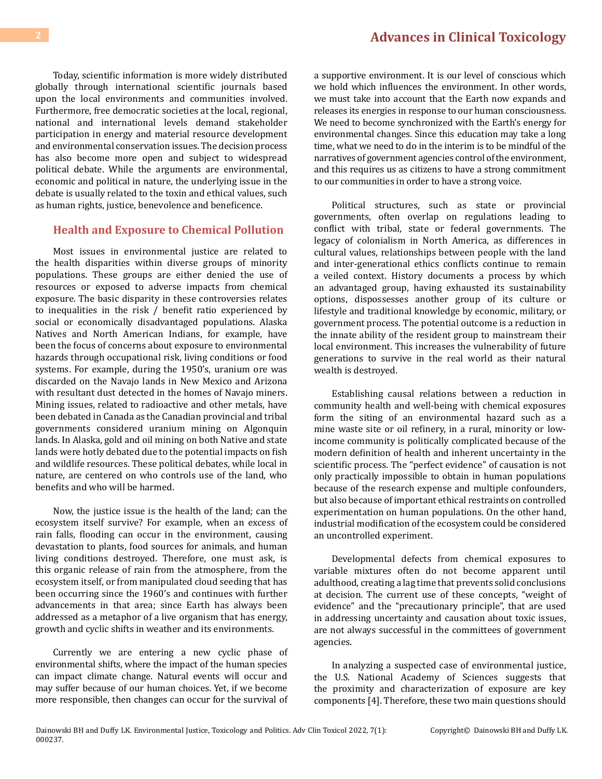Today, scientific information is more widely distributed globally through international scientific journals based upon the local environments and communities involved. Furthermore, free democratic societies at the local, regional, national and international levels demand stakeholder participation in energy and material resource development and environmental conservation issues. The decision process has also become more open and subject to widespread political debate. While the arguments are environmental, economic and political in nature, the underlying issue in the debate is usually related to the toxin and ethical values, such as human rights, justice, benevolence and beneficence.

#### **Health and Exposure to Chemical Pollution**

Most issues in environmental justice are related to the health disparities within diverse groups of minority populations. These groups are either denied the use of resources or exposed to adverse impacts from chemical exposure. The basic disparity in these controversies relates to inequalities in the risk / benefit ratio experienced by social or economically disadvantaged populations. Alaska Natives and North American Indians, for example, have been the focus of concerns about exposure to environmental hazards through occupational risk, living conditions or food systems. For example, during the 1950's, uranium ore was discarded on the Navajo lands in New Mexico and Arizona with resultant dust detected in the homes of Navajo miners. Mining issues, related to radioactive and other metals, have been debated in Canada as the Canadian provincial and tribal governments considered uranium mining on Algonquin lands. In Alaska, gold and oil mining on both Native and state lands were hotly debated due to the potential impacts on fish and wildlife resources. These political debates, while local in nature, are centered on who controls use of the land, who benefits and who will be harmed.

Now, the justice issue is the health of the land; can the ecosystem itself survive? For example, when an excess of rain falls, flooding can occur in the environment, causing devastation to plants, food sources for animals, and human living conditions destroyed. Therefore, one must ask, is this organic release of rain from the atmosphere, from the ecosystem itself, or from manipulated cloud seeding that has been occurring since the 1960's and continues with further advancements in that area; since Earth has always been addressed as a metaphor of a live organism that has energy, growth and cyclic shifts in weather and its environments.

Currently we are entering a new cyclic phase of environmental shifts, where the impact of the human species can impact climate change. Natural events will occur and may suffer because of our human choices. Yet, if we become more responsible, then changes can occur for the survival of

a supportive environment. It is our level of conscious which we hold which influences the environment. In other words, we must take into account that the Earth now expands and releases its energies in response to our human consciousness. We need to become synchronized with the Earth's energy for environmental changes. Since this education may take a long time, what we need to do in the interim is to be mindful of the narratives of government agencies control of the environment, and this requires us as citizens to have a strong commitment to our communities in order to have a strong voice.

Political structures, such as state or provincial governments, often overlap on regulations leading to conflict with tribal, state or federal governments. The legacy of colonialism in North America, as differences in cultural values, relationships between people with the land and inter-generational ethics conflicts continue to remain a veiled context. History documents a process by which an advantaged group, having exhausted its sustainability options, dispossesses another group of its culture or lifestyle and traditional knowledge by economic, military, or government process. The potential outcome is a reduction in the innate ability of the resident group to mainstream their local environment. This increases the vulnerability of future generations to survive in the real world as their natural wealth is destroyed.

Establishing causal relations between a reduction in community health and well-being with chemical exposures form the siting of an environmental hazard such as a mine waste site or oil refinery, in a rural, minority or lowincome community is politically complicated because of the modern definition of health and inherent uncertainty in the scientific process. The "perfect evidence" of causation is not only practically impossible to obtain in human populations because of the research expense and multiple confounders, but also because of important ethical restraints on controlled experimentation on human populations. On the other hand, industrial modification of the ecosystem could be considered an uncontrolled experiment.

Developmental defects from chemical exposures to variable mixtures often do not become apparent until adulthood, creating a lag time that prevents solid conclusions at decision. The current use of these concepts, "weight of evidence" and the "precautionary principle", that are used in addressing uncertainty and causation about toxic issues, are not always successful in the committees of government agencies.

In analyzing a suspected case of environmental justice, the U.S. National Academy of Sciences suggests that the proximity and characterization of exposure are key components [4]. Therefore, these two main questions should